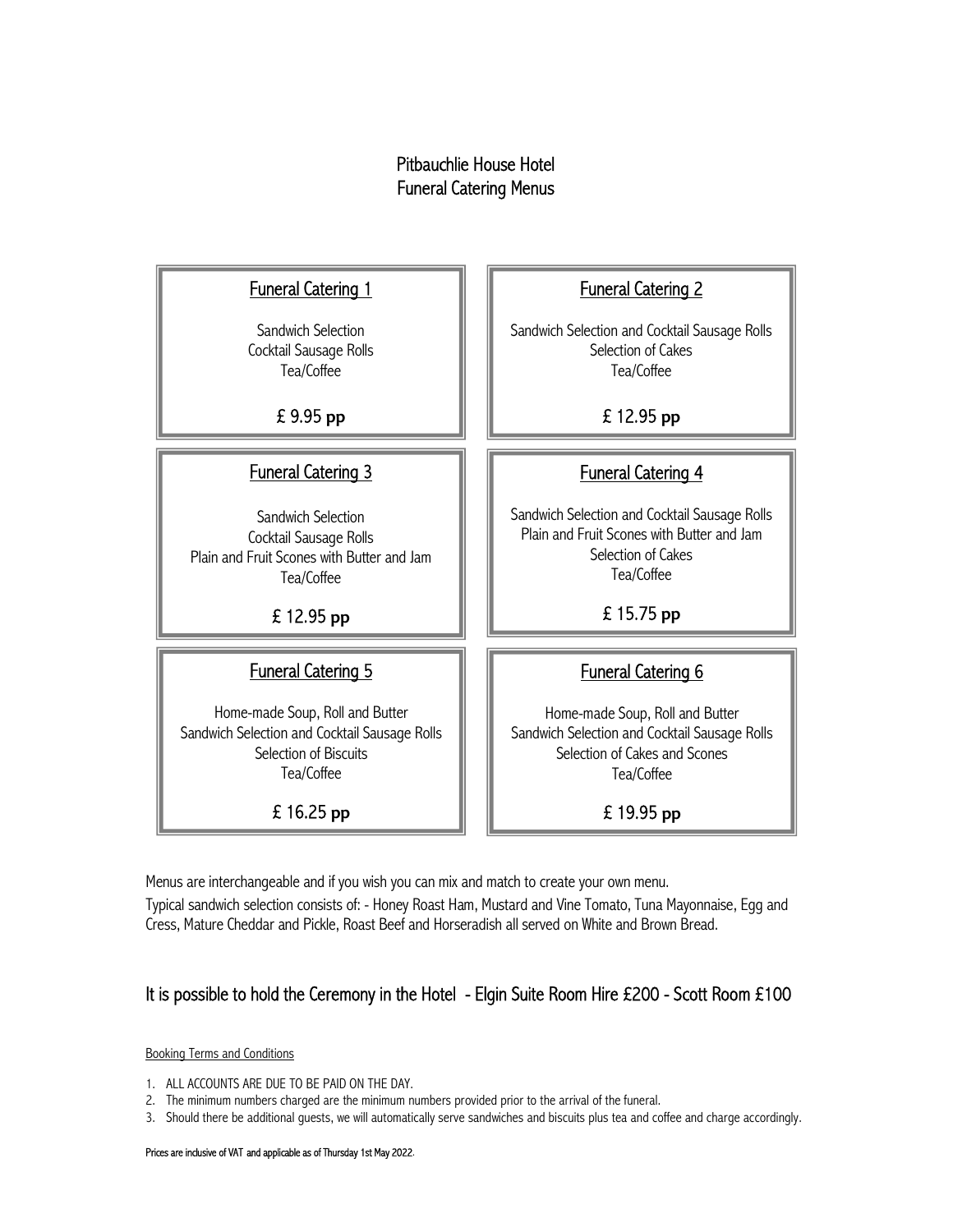#### Pitbauchlie House Hotel Funeral Catering Menus

### $\overline{a}$ **Funeral Catering 1**

 Sandwich Selection Cocktail Sausage Rolls Tea/Coffee

£ 9.95 pp

### Funeral Catering 3

Sandwich Selection Cocktail Sausage Rolls Plain and Fruit Scones with Butter and Jam Tea/Coffee

£ 12.95 pp

### Funeral Catering 5

Home-made Soup, Roll and Butter Sandwich Selection and Cocktail Sausage Rolls Selection of Biscuits Tea/Coffee

£ 16.25 pp

### $\overline{a}$ Funeral Catering 2

Sandwich Selection and Cocktail Sausage Rolls Selection of Cakes Tea/Coffee

## £ 12.95 pp

### Funeral Catering 4

Sandwich Selection and Cocktail Sausage Rolls Plain and Fruit Scones with Butter and Jam Selection of Cakes Tea/Coffee

£ 15.75 pp

### Funeral Catering 6

Home-made Soup, Roll and Butter Sandwich Selection and Cocktail Sausage Rolls Selection of Cakes and Scones Tea/Coffee

£ 19.95 pp

Menus are interchangeable and if you wish you can mix and match to create your own menu. Typical sandwich selection consists of: - Honey Roast Ham, Mustard and Vine Tomato, Tuna Mayonnaise, Egg and Cress, Mature Cheddar and Pickle, Roast Beef and Horseradish all served on White and Brown Bread.

### It is possible to hold the Ceremony in the Hotel - Elgin Suite Room Hire £200 - Scott Room £100

Booking Terms and Conditions

- 1. ALL ACCOUNTS ARE DUE TO BE PAID ON THE DAY.
- 2. The minimum numbers charged are the minimum numbers provided prior to the arrival of the funeral.

3. Should there be additional guests, we will automatically serve sandwiches and biscuits plus tea and coffee and charge accordingly.

#### Prices are inclusive of VAT and applicable as of Thursday 1st May 2022.